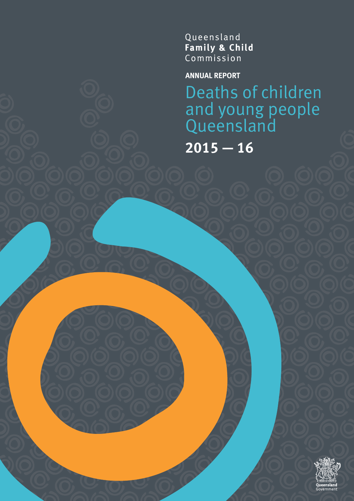Queensland Family & Child<br>Commission

**ANNUAL REPORT**

Deaths of children and young people Queensland

**2015 — 16**

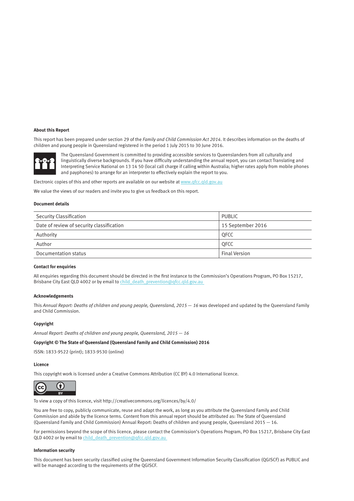### **About this Report**

This report has been prepared under section 29 of the *Family and Child Commission Act 2014*. It describes information on the deaths of children and young people in Queensland registered in the period 1 July 2015 to 30 June 2016.



The Queensland Government is committed to providing accessible services to Queenslanders from all culturally and linguistically diverse backgrounds. If you have difficulty understanding the annual report, you can contact Translating and Interpreting Service National on 13 14 50 (local call charge if calling within Australia; higher rates apply from mobile phones and payphones) to arrange for an interpreter to effectively explain the report to you.

Electronic copies of this and other reports are available on our website at www.qfcc.qld.gov.au

We value the views of our readers and invite you to give us feedback on this report.

#### **Document details**

| Security Classification                   | <b>PUBLIC</b>        |
|-------------------------------------------|----------------------|
| Date of review of security classification | 15 September 2016    |
| Authority                                 | <b>OFCC</b>          |
| Author                                    | <b>OFCC</b>          |
| Documentation status                      | <b>Final Version</b> |

### **Contact for enquiries**

All enquiries regarding this document should be directed in the first instance to the Commission's Operations Program, PO Box 15217, Brisbane City East QLD 4002 or by email to [child\\_death\\_prevention@qfcc.qld.gov.au](mailto:child_death_prevention@qfcc.qld.gov.au)

### **Acknowledgements**

This Annual Report: Deaths of children and young people, Queensland, 2015 - 16 was developed and updated by the Queensland Family and Child Commission.

# **Copyright**

*Annual Report: Deaths of children and young people, Queensland, 2015* — *16*

# **Copyright © The State of Queensland (Queensland Family and Child Commission) 2016**

ISSN: 1833-9522 (print); 1833-9530 (online)

# **Licence**

This copyright work is licensed under a Creative Commons Attribution (CC BY) 4.0 International licence.



To view a copy of this licence, visit <http://creativecommons.org/licences/by/4.0/>

You are free to copy, publicly communicate, reuse and adapt the work, as long as you attribute the Queensland Family and Child Commission and abide by the licence terms. Content from this annual report should be attributed as: The State of Queensland (Queensland Family and Child Commission) Annual Report: Deaths of children and young people, Queensland 2015 — 16.

For permissions beyond the scope of this licence, please contact the Commission's Operations Program, PO Box 15217, Brisbane City East QLD 4002 or by email to [child\\_death\\_prevention@qfcc.qld.gov.au](mailto:child_death_prevention@qfcc.qld.gov.au)

### **Information security**

This document has been security classified using the Queensland Government Information Security Classification (QGISCF) as PUBLIC and will be managed according to the requirements of the QGISCF.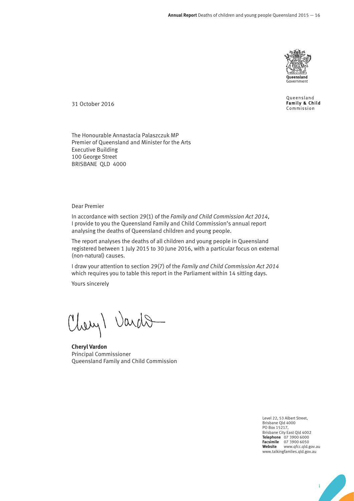

Queensland Family & Child Commission

31 October 2016

The Honourable Annastacia Palaszczuk MP Premier of Queensland and Minister for the Arts Executive Building 100 George Street BRISBANE QLD 4000

# Dear Premier

In accordance with section 29(1) of the *Family and Child Commission Act 2014*, I provide to you the Queensland Family and Child Commission's annual report analysing the deaths of Queensland children and young people.

The report analyses the deaths of all children and young people in Queensland registered between 1 July 2015 to 30 June 2016, with a particular focus on external (non-natural) causes.

I draw your attention to section 29(7) of the *Family and Child Commission Act 2014* which requires you to table this report in the Parliament within 14 sitting days.

Yours sincerely

Chery) Vardo

**Cheryl Vardon** Principal Commissioner Queensland Family and Child Commission

Level 22, 53 Albert Street, Brisbane Qld 4000 PO Box 15217, Brisbane City East Qld 4002 **Telephone** 07 3900 6000 **Facsimile** 07 3900 6050 **Website** www.qfcc.qld.gov.au www.talkingfamlies.qld.gov.au

**i**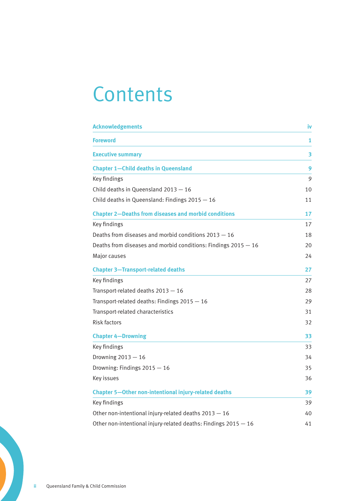# **Contents**

| <b>Acknowledgements</b>                                         | İ٧ |
|-----------------------------------------------------------------|----|
| <b>Foreword</b>                                                 | 1  |
| <b>Executive summary</b>                                        | 3  |
| <b>Chapter 1-Child deaths in Queensland</b>                     | 9  |
| Key findings                                                    | 9  |
| Child deaths in Queensland $2013 - 16$                          | 10 |
| Child deaths in Queensland: Findings 2015 - 16                  | 11 |
| <b>Chapter 2-Deaths from diseases and morbid conditions</b>     | 17 |
| Key findings                                                    | 17 |
| Deaths from diseases and morbid conditions $2013 - 16$          | 18 |
| Deaths from diseases and morbid conditions: Findings 2015 - 16  | 20 |
| Major causes                                                    | 24 |
| <b>Chapter 3-Transport-related deaths</b>                       | 27 |
| Key findings                                                    | 27 |
| Transport-related deaths 2013 - 16                              | 28 |
| Transport-related deaths: Findings 2015 - 16                    | 29 |
| Transport-related characteristics                               | 31 |
| Risk factors                                                    | 32 |
| <b>Chapter 4-Drowning</b>                                       | 33 |
| Key findings                                                    | 33 |
| Drowning $2013 - 16$                                            | 34 |
| Drowning: Findings $2015 - 16$                                  | 35 |
| Key issues                                                      | 36 |
| <b>Chapter 5-Other non-intentional injury-related deaths</b>    | 39 |
| Key findings                                                    | 39 |
| Other non-intentional injury-related deaths $2013 - 16$         | 40 |
| Other non-intentional injury-related deaths: Findings 2015 - 16 | 41 |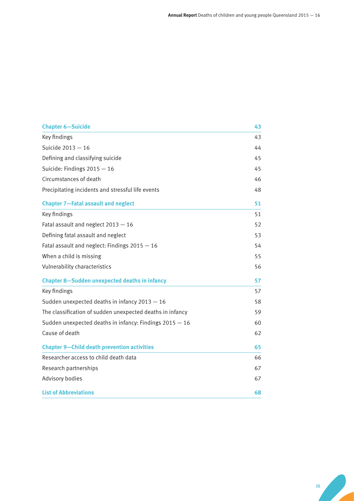| <b>Chapter 6-Suicide</b>                                  | 43 |
|-----------------------------------------------------------|----|
| Key findings                                              | 43 |
| Suicide 2013 - 16                                         | 44 |
| Defining and classifying suicide                          | 45 |
| Suicide: Findings $2015 - 16$                             | 45 |
| Circumstances of death                                    | 46 |
| Precipitating incidents and stressful life events         | 48 |
| <b>Chapter 7-Fatal assault and neglect</b>                | 51 |
| Key findings                                              | 51 |
| Fatal assault and neglect $2013 - 16$                     | 52 |
| Defining fatal assault and neglect                        | 53 |
| Fatal assault and neglect: Findings 2015 - 16             | 54 |
| When a child is missing                                   | 55 |
| Vulnerability characteristics                             | 56 |
| <b>Chapter 8-Sudden unexpected deaths in infancy</b>      | 57 |
| Key findings                                              | 57 |
| Sudden unexpected deaths in infancy $2013 - 16$           | 58 |
| The classification of sudden unexpected deaths in infancy | 59 |
| Sudden unexpected deaths in infancy: Findings $2015 - 16$ | 60 |
| Cause of death                                            | 62 |
| <b>Chapter 9-Child death prevention activities</b>        | 65 |
| Researcher access to child death data                     | 66 |
| Research partnerships                                     | 67 |
| Advisory bodies                                           | 67 |
| <b>List of Abbreviations</b>                              | 68 |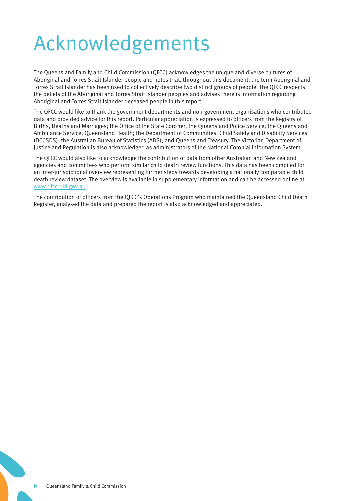# Acknowledgements

The Queensland Family and Child Commission (QFCC) acknowledges the unique and diverse cultures of Aboriginal and Torres Strait Islander people and notes that, throughout this document, the term Aboriginal and Torres Strait Islander has been used to collectively describe two distinct groups of people. The QFCC respects the beliefs of the Aboriginal and Torres Strait Islander peoples and advises there is information regarding Aboriginal and Torres Strait Islander deceased people in this report.

The QFCC would like to thank the government departments and non-government organisations who contributed data and provided advice for this report. Particular appreciation is expressed to officers from the Registry of Births, Deaths and Marriages; the Office of the State Coroner; the Queensland Police Service; the Queensland Ambulance Service; Queensland Health; the Department of Communities, Child Safety and Disability Services (DCCSDS); the Australian Bureau of Statistics (ABS); and Queensland Treasury. The Victorian Department of Justice and Regulation is also acknowledged as administrators of the National Coronial Information System.

The QFCC would also like to acknowledge the contribution of data from other Australian and New Zealand agencies and committees who perform similar child death review functions. This data has been compiled for an inter-jurisdictional overview representing further steps towards developing a nationally comparable child death review dataset. The overview is available in supplementary information and can be accessed online at [www.qfcc.qld.gov.au](http://www.qfcc.qld.gov.au).

The contribution of officers from the QFCC's Operations Program who maintained the Queensland Child Death Register, analysed the data and prepared the report is also acknowledged and appreciated.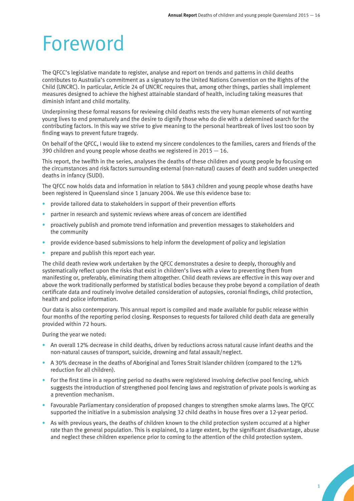# Foreword

The QFCC's legislative mandate to register, analyse and report on trends and patterns in child deaths contributes to Australia's commitment as a signatory to the United Nations Convention on the Rights of the Child (UNCRC). In particular, Article 24 of UNCRC requires that, among other things, parties shall implement measures designed to achieve the highest attainable standard of health, including taking measures that diminish infant and child mortality.

Underpinning these formal reasons for reviewing child deaths rests the very human elements of not wanting young lives to end prematurely and the desire to dignify those who do die with a determined search for the contributing factors. In this way we strive to give meaning to the personal heartbreak of lives lost too soon by finding ways to prevent future tragedy.

On behalf of the QFCC, I would like to extend my sincere condolences to the families, carers and friends of the 390 children and young people whose deaths we registered in 2015 — 16.

This report, the twelfth in the series, analyses the deaths of these children and young people by focusing on the circumstances and risk factors surrounding external (non-natural) causes of death and sudden unexpected deaths in infancy (SUDI).

The QFCC now holds data and information in relation to 5843 children and young people whose deaths have been registered in Queensland since 1 January 2004. We use this evidence base to:

- provide tailored data to stakeholders in support of their prevention efforts
- partner in research and systemic reviews where areas of concern are identified
- proactively publish and promote trend information and prevention messages to stakeholders and the community
- provide evidence-based submissions to help inform the development of policy and legislation
- prepare and publish this report each year.

The child death review work undertaken by the QFCC demonstrates a desire to deeply, thoroughly and systematically reflect upon the risks that exist in children's lives with a view to preventing them from manifesting or, preferably, eliminating them altogether. Child death reviews are effective in this way over and above the work traditionally performed by statistical bodies because they probe beyond a compilation of death certificate data and routinely involve detailed consideration of autopsies, coronial findings, child protection, health and police information.

Our data is also contemporary. This annual report is compiled and made available for public release within four months of the reporting period closing. Responses to requests for tailored child death data are generally provided within 72 hours.

During the year we noted:

- An overall 12% decrease in child deaths, driven by reductions across natural cause infant deaths and the non-natural causes of transport, suicide, drowning and fatal assault/neglect.
- A 30% decrease in the deaths of Aboriginal and Torres Strait Islander children (compared to the 12% reduction for all children).
- For the first time in a reporting period no deaths were registered involving defective pool fencing, which suggests the introduction of strengthened pool fencing laws and registration of private pools is working as a prevention mechanism.
- Favourable Parliamentary consideration of proposed changes to strengthen smoke alarms laws. The QFCC supported the initiative in a submission analysing 32 child deaths in house fires over a 12-year period.
- As with previous years, the deaths of children known to the child protection system occurred at a higher rate than the general population. This is explained, to a large extent, by the significant disadvantage, abuse and neglect these children experience prior to coming to the attention of the child protection system.